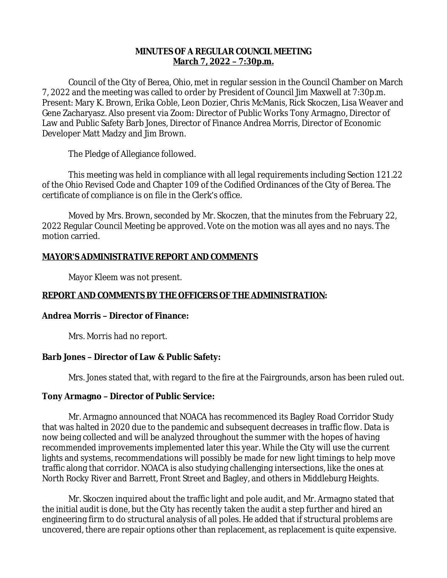## **MINUTES OF A REGULAR COUNCIL MEETING March 7, 2022 – 7:30p.m.**

Council of the City of Berea, Ohio, met in regular session in the Council Chamber on March 7, 2022 and the meeting was called to order by President of Council Jim Maxwell at 7:30p.m. Present: Mary K. Brown, Erika Coble, Leon Dozier, Chris McManis, Rick Skoczen, Lisa Weaver and Gene Zacharyasz. Also present via Zoom: Director of Public Works Tony Armagno, Director of Law and Public Safety Barb Jones, Director of Finance Andrea Morris, Director of Economic Developer Matt Madzy and Jim Brown.

The Pledge of Allegiance followed.

This meeting was held in compliance with all legal requirements including Section 121.22 of the Ohio Revised Code and Chapter 109 of the Codified Ordinances of the City of Berea. The certificate of compliance is on file in the Clerk's office.

Moved by Mrs. Brown, seconded by Mr. Skoczen, that the minutes from the February 22, 2022 Regular Council Meeting be approved. Vote on the motion was all ayes and no nays. The motion carried.

# **MAYOR'S ADMINISTRATIVE REPORT AND COMMENTS**

Mayor Kleem was not present.

# **REPORT AND COMMENTS BY THE OFFICERS OF THE ADMINISTRATION:**

# **Andrea Morris – Director of Finance:**

Mrs. Morris had no report.

# **Barb Jones – Director of Law & Public Safety:**

Mrs. Jones stated that, with regard to the fire at the Fairgrounds, arson has been ruled out.

# **Tony Armagno – Director of Public Service:**

Mr. Armagno announced that NOACA has recommenced its Bagley Road Corridor Study that was halted in 2020 due to the pandemic and subsequent decreases in traffic flow. Data is now being collected and will be analyzed throughout the summer with the hopes of having recommended improvements implemented later this year. While the City will use the current lights and systems, recommendations will possibly be made for new light timings to help move traffic along that corridor. NOACA is also studying challenging intersections, like the ones at North Rocky River and Barrett, Front Street and Bagley, and others in Middleburg Heights.

Mr. Skoczen inquired about the traffic light and pole audit, and Mr. Armagno stated that the initial audit is done, but the City has recently taken the audit a step further and hired an engineering firm to do structural analysis of all poles. He added that if structural problems are uncovered, there are repair options other than replacement, as replacement is quite expensive.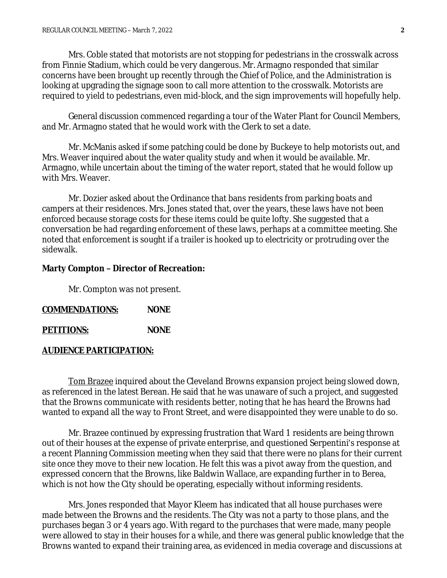Mrs. Coble stated that motorists are not stopping for pedestrians in the crosswalk across from Finnie Stadium, which could be very dangerous. Mr. Armagno responded that similar concerns have been brought up recently through the Chief of Police, and the Administration is looking at upgrading the signage soon to call more attention to the crosswalk. Motorists are required to yield to pedestrians, even mid-block, and the sign improvements will hopefully help.

General discussion commenced regarding a tour of the Water Plant for Council Members, and Mr. Armagno stated that he would work with the Clerk to set a date.

Mr. McManis asked if some patching could be done by Buckeye to help motorists out, and Mrs. Weaver inquired about the water quality study and when it would be available. Mr. Armagno, while uncertain about the timing of the water report, stated that he would follow up with Mrs. Weaver.

Mr. Dozier asked about the Ordinance that bans residents from parking boats and campers at their residences. Mrs. Jones stated that, over the years, these laws have not been enforced because storage costs for these items could be quite lofty. She suggested that a conversation be had regarding enforcement of these laws, perhaps at a committee meeting. She noted that enforcement is sought if a trailer is hooked up to electricity or protruding over the sidewalk.

#### **Marty Compton – Director of Recreation:**

Mr. Compton was not present.

| <b>COMMENDATIONS:</b> | <b>NONE</b> |
|-----------------------|-------------|
|                       |             |

| <b>PETITIONS:</b> | <b>NONE</b> |
|-------------------|-------------|
|                   |             |

### **AUDIENCE PARTICIPATION:**

Tom Brazee inquired about the Cleveland Browns expansion project being slowed down, as referenced in the latest Berean. He said that he was unaware of such a project, and suggested that the Browns communicate with residents better, noting that he has heard the Browns had wanted to expand all the way to Front Street, and were disappointed they were unable to do so.

Mr. Brazee continued by expressing frustration that Ward 1 residents are being thrown out of their houses at the expense of private enterprise, and questioned Serpentini's response at a recent Planning Commission meeting when they said that there were no plans for their current site once they move to their new location. He felt this was a pivot away from the question, and expressed concern that the Browns, like Baldwin Wallace, are expanding further in to Berea, which is not how the City should be operating, especially without informing residents.

Mrs. Jones responded that Mayor Kleem has indicated that all house purchases were made between the Browns and the residents. The City was not a party to those plans, and the purchases began 3 or 4 years ago. With regard to the purchases that were made, many people were allowed to stay in their houses for a while, and there was general public knowledge that the Browns wanted to expand their training area, as evidenced in media coverage and discussions at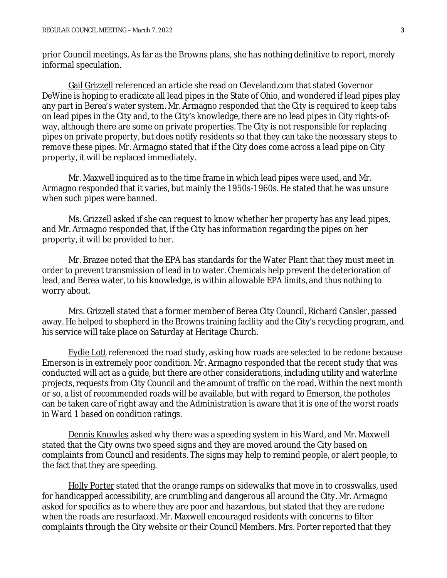prior Council meetings. As far as the Browns plans, she has nothing definitive to report, merely informal speculation.

Gail Grizzell referenced an article she read on Cleveland.com that stated Governor DeWine is hoping to eradicate all lead pipes in the State of Ohio, and wondered if lead pipes play any part in Berea's water system. Mr. Armagno responded that the City is required to keep tabs on lead pipes in the City and, to the City's knowledge, there are no lead pipes in City rights-ofway, although there are some on private properties. The City is not responsible for replacing pipes on private property, but does notify residents so that they can take the necessary steps to remove these pipes. Mr. Armagno stated that if the City does come across a lead pipe on City property, it will be replaced immediately.

Mr. Maxwell inquired as to the time frame in which lead pipes were used, and Mr. Armagno responded that it varies, but mainly the 1950s-1960s. He stated that he was unsure when such pipes were banned.

Ms. Grizzell asked if she can request to know whether her property has any lead pipes, and Mr. Armagno responded that, if the City has information regarding the pipes on her property, it will be provided to her.

Mr. Brazee noted that the EPA has standards for the Water Plant that they must meet in order to prevent transmission of lead in to water. Chemicals help prevent the deterioration of lead, and Berea water, to his knowledge, is within allowable EPA limits, and thus nothing to worry about.

Mrs. Grizzell stated that a former member of Berea City Council, Richard Cansler, passed away. He helped to shepherd in the Browns training facility and the City's recycling program, and his service will take place on Saturday at Heritage Church.

Eydie Lott referenced the road study, asking how roads are selected to be redone because Emerson is in extremely poor condition. Mr. Armagno responded that the recent study that was conducted will act as a guide, but there are other considerations, including utility and waterline projects, requests from City Council and the amount of traffic on the road. Within the next month or so, a list of recommended roads will be available, but with regard to Emerson, the potholes can be taken care of right away and the Administration is aware that it is one of the worst roads in Ward 1 based on condition ratings.

Dennis Knowles asked why there was a speeding system in his Ward, and Mr. Maxwell stated that the City owns two speed signs and they are moved around the City based on complaints from Council and residents. The signs may help to remind people, or alert people, to the fact that they are speeding.

Holly Porter stated that the orange ramps on sidewalks that move in to crosswalks, used for handicapped accessibility, are crumbling and dangerous all around the City. Mr. Armagno asked for specifics as to where they are poor and hazardous, but stated that they are redone when the roads are resurfaced. Mr. Maxwell encouraged residents with concerns to filter complaints through the City website or their Council Members. Mrs. Porter reported that they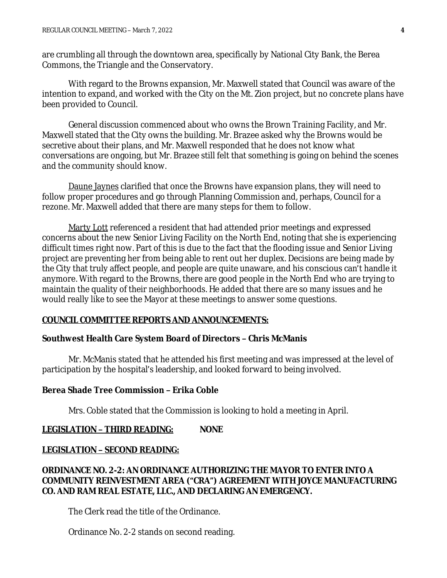are crumbling all through the downtown area, specifically by National City Bank, the Berea Commons, the Triangle and the Conservatory.

With regard to the Browns expansion, Mr. Maxwell stated that Council was aware of the intention to expand, and worked with the City on the Mt. Zion project, but no concrete plans have been provided to Council.

General discussion commenced about who owns the Brown Training Facility, and Mr. Maxwell stated that the City owns the building. Mr. Brazee asked why the Browns would be secretive about their plans, and Mr. Maxwell responded that he does not know what conversations are ongoing, but Mr. Brazee still felt that something is going on behind the scenes and the community should know.

Daune Jaynes clarified that once the Browns have expansion plans, they will need to follow proper procedures and go through Planning Commission and, perhaps, Council for a rezone. Mr. Maxwell added that there are many steps for them to follow.

Marty Lott referenced a resident that had attended prior meetings and expressed concerns about the new Senior Living Facility on the North End, noting that she is experiencing difficult times right now. Part of this is due to the fact that the flooding issue and Senior Living project are preventing her from being able to rent out her duplex. Decisions are being made by the City that truly affect people, and people are quite unaware, and his conscious can't handle it anymore. With regard to the Browns, there are good people in the North End who are trying to maintain the quality of their neighborhoods. He added that there are so many issues and he would really like to see the Mayor at these meetings to answer some questions.

#### **COUNCIL COMMITTEE REPORTS AND ANNOUNCEMENTS:**

### **Southwest Health Care System Board of Directors – Chris McManis**

Mr. McManis stated that he attended his first meeting and was impressed at the level of participation by the hospital's leadership, and looked forward to being involved.

### **Berea Shade Tree Commission – Erika Coble**

Mrs. Coble stated that the Commission is looking to hold a meeting in April.

# **LEGISLATION – THIRD READING: NONE**

### **LEGISLATION – SECOND READING:**

# **ORDINANCE NO. 2-2: AN ORDINANCE AUTHORIZING THE MAYOR TO ENTER INTO A COMMUNITY REINVESTMENT AREA ("CRA") AGREEMENT WITH JOYCE MANUFACTURING CO. AND RAM REAL ESTATE, LLC., AND DECLARING AN EMERGENCY.**

The Clerk read the title of the Ordinance.

Ordinance No. 2-2 stands on second reading.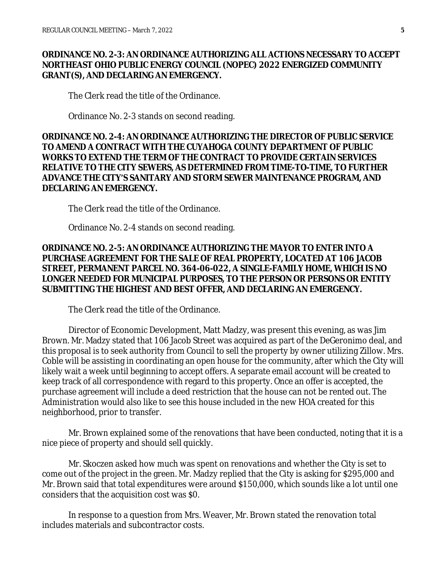### **ORDINANCE NO. 2-3: AN ORDINANCE AUTHORIZING ALL ACTIONS NECESSARY TO ACCEPT NORTHEAST OHIO PUBLIC ENERGY COUNCIL (NOPEC) 2022 ENERGIZED COMMUNITY GRANT(S), AND DECLARING AN EMERGENCY.**

The Clerk read the title of the Ordinance.

Ordinance No. 2-3 stands on second reading.

## **ORDINANCE NO. 2-4: AN ORDINANCE AUTHORIZING THE DIRECTOR OF PUBLIC SERVICE TO AMEND A CONTRACT WITH THE CUYAHOGA COUNTY DEPARTMENT OF PUBLIC WORKS TO EXTEND THE TERM OF THE CONTRACT TO PROVIDE CERTAIN SERVICES RELATIVE TO THE CITY SEWERS, AS DETERMINED FROM TIME-TO-TIME, TO FURTHER ADVANCE THE CITY'S SANITARY AND STORM SEWER MAINTENANCE PROGRAM, AND DECLARING AN EMERGENCY.**

The Clerk read the title of the Ordinance.

Ordinance No. 2-4 stands on second reading.

## **ORDINANCE NO. 2-5: AN ORDINANCE AUTHORIZING THE MAYOR TO ENTER INTO A PURCHASE AGREEMENT FOR THE SALE OF REAL PROPERTY, LOCATED AT 106 JACOB STREET, PERMANENT PARCEL NO. 364-06-022, A SINGLE-FAMILY HOME, WHICH IS NO LONGER NEEDED FOR MUNICIPAL PURPOSES, TO THE PERSON OR PERSONS OR ENTITY SUBMITTING THE HIGHEST AND BEST OFFER, AND DECLARING AN EMERGENCY.**

The Clerk read the title of the Ordinance.

Director of Economic Development, Matt Madzy, was present this evening, as was Jim Brown. Mr. Madzy stated that 106 Jacob Street was acquired as part of the DeGeronimo deal, and this proposal is to seek authority from Council to sell the property by owner utilizing Zillow. Mrs. Coble will be assisting in coordinating an open house for the community, after which the City will likely wait a week until beginning to accept offers. A separate email account will be created to keep track of all correspondence with regard to this property. Once an offer is accepted, the purchase agreement will include a deed restriction that the house can not be rented out. The Administration would also like to see this house included in the new HOA created for this neighborhood, prior to transfer.

Mr. Brown explained some of the renovations that have been conducted, noting that it is a nice piece of property and should sell quickly.

Mr. Skoczen asked how much was spent on renovations and whether the City is set to come out of the project in the green. Mr. Madzy replied that the City is asking for \$295,000 and Mr. Brown said that total expenditures were around \$150,000, which sounds like a lot until one considers that the acquisition cost was \$0.

In response to a question from Mrs. Weaver, Mr. Brown stated the renovation total includes materials and subcontractor costs.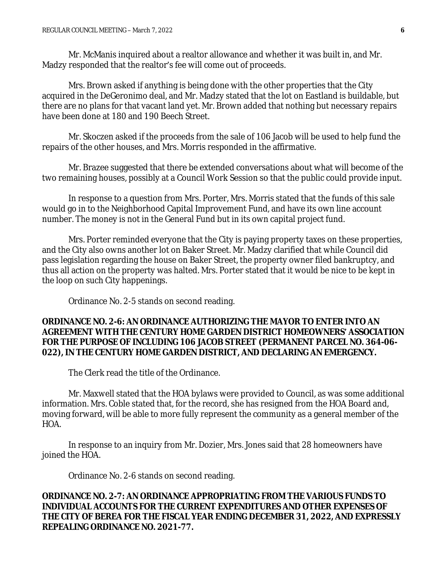Mr. McManis inquired about a realtor allowance and whether it was built in, and Mr. Madzy responded that the realtor's fee will come out of proceeds.

Mrs. Brown asked if anything is being done with the other properties that the City acquired in the DeGeronimo deal, and Mr. Madzy stated that the lot on Eastland is buildable, but there are no plans for that vacant land yet. Mr. Brown added that nothing but necessary repairs have been done at 180 and 190 Beech Street.

Mr. Skoczen asked if the proceeds from the sale of 106 Jacob will be used to help fund the repairs of the other houses, and Mrs. Morris responded in the affirmative.

Mr. Brazee suggested that there be extended conversations about what will become of the two remaining houses, possibly at a Council Work Session so that the public could provide input.

In response to a question from Mrs. Porter, Mrs. Morris stated that the funds of this sale would go in to the Neighborhood Capital Improvement Fund, and have its own line account number. The money is not in the General Fund but in its own capital project fund.

Mrs. Porter reminded everyone that the City is paying property taxes on these properties, and the City also owns another lot on Baker Street. Mr. Madzy clarified that while Council did pass legislation regarding the house on Baker Street, the property owner filed bankruptcy, and thus all action on the property was halted. Mrs. Porter stated that it would be nice to be kept in the loop on such City happenings.

Ordinance No. 2-5 stands on second reading.

## **ORDINANCE NO. 2-6: AN ORDINANCE AUTHORIZING THE MAYOR TO ENTER INTO AN AGREEMENT WITH THE CENTURY HOME GARDEN DISTRICT HOMEOWNERS' ASSOCIATION FOR THE PURPOSE OF INCLUDING 106 JACOB STREET (PERMANENT PARCEL NO. 364-06- 022), IN THE CENTURY HOME GARDEN DISTRICT, AND DECLARING AN EMERGENCY.**

The Clerk read the title of the Ordinance.

Mr. Maxwell stated that the HOA bylaws were provided to Council, as was some additional information. Mrs. Coble stated that, for the record, she has resigned from the HOA Board and, moving forward, will be able to more fully represent the community as a general member of the HOA.

In response to an inquiry from Mr. Dozier, Mrs. Jones said that 28 homeowners have joined the HOA.

Ordinance No. 2-6 stands on second reading.

## **ORDINANCE NO. 2-7: AN ORDINANCE APPROPRIATING FROM THE VARIOUS FUNDS TO INDIVIDUAL ACCOUNTS FOR THE CURRENT EXPENDITURES AND OTHER EXPENSES OF THE CITY OF BEREA FOR THE FISCAL YEAR ENDING DECEMBER 31, 2022, AND EXPRESSLY REPEALING ORDINANCE NO. 2021-77.**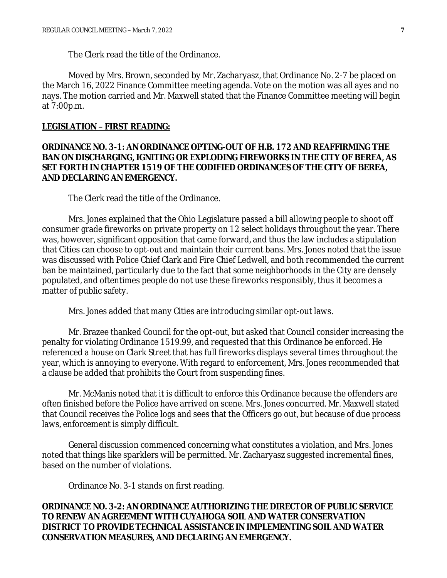The Clerk read the title of the Ordinance.

Moved by Mrs. Brown, seconded by Mr. Zacharyasz, that Ordinance No. 2-7 be placed on the March 16, 2022 Finance Committee meeting agenda. Vote on the motion was all ayes and no nays. The motion carried and Mr. Maxwell stated that the Finance Committee meeting will begin at 7:00p.m.

### **LEGISLATION – FIRST READING:**

## **ORDINANCE NO. 3-1: AN ORDINANCE OPTING-OUT OF H.B. 172 AND REAFFIRMING THE BAN ON DISCHARGING, IGNITING OR EXPLODING FIREWORKS IN THE CITY OF BEREA, AS SET FORTH IN CHAPTER 1519 OF THE CODIFIED ORDINANCES OF THE CITY OF BEREA, AND DECLARING AN EMERGENCY.**

The Clerk read the title of the Ordinance.

Mrs. Jones explained that the Ohio Legislature passed a bill allowing people to shoot off consumer grade fireworks on private property on 12 select holidays throughout the year. There was, however, significant opposition that came forward, and thus the law includes a stipulation that Cities can choose to opt-out and maintain their current bans. Mrs. Jones noted that the issue was discussed with Police Chief Clark and Fire Chief Ledwell, and both recommended the current ban be maintained, particularly due to the fact that some neighborhoods in the City are densely populated, and oftentimes people do not use these fireworks responsibly, thus it becomes a matter of public safety.

Mrs. Jones added that many Cities are introducing similar opt-out laws.

Mr. Brazee thanked Council for the opt-out, but asked that Council consider increasing the penalty for violating Ordinance 1519.99, and requested that this Ordinance be enforced. He referenced a house on Clark Street that has full fireworks displays several times throughout the year, which is annoying to everyone. With regard to enforcement, Mrs. Jones recommended that a clause be added that prohibits the Court from suspending fines.

Mr. McManis noted that it is difficult to enforce this Ordinance because the offenders are often finished before the Police have arrived on scene. Mrs. Jones concurred. Mr. Maxwell stated that Council receives the Police logs and sees that the Officers go out, but because of due process laws, enforcement is simply difficult.

General discussion commenced concerning what constitutes a violation, and Mrs. Jones noted that things like sparklers will be permitted. Mr. Zacharyasz suggested incremental fines, based on the number of violations.

Ordinance No. 3-1 stands on first reading.

**ORDINANCE NO. 3-2: AN ORDINANCE AUTHORIZING THE DIRECTOR OF PUBLIC SERVICE TO RENEW AN AGREEMENT WITH CUYAHOGA SOIL AND WATER CONSERVATION DISTRICT TO PROVIDE TECHNICAL ASSISTANCE IN IMPLEMENTING SOIL AND WATER CONSERVATION MEASURES, AND DECLARING AN EMERGENCY.**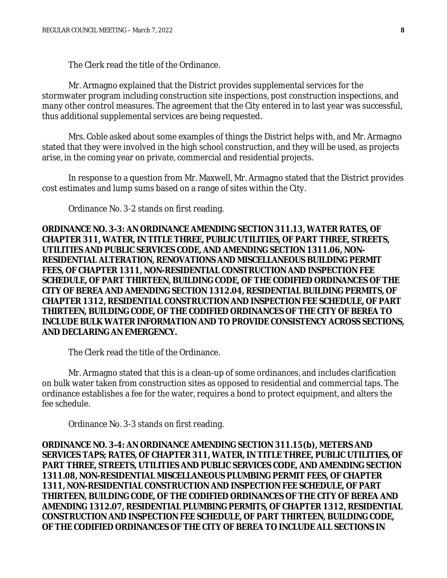The Clerk read the title of the Ordinance.

Mr. Armagno explained that the District provides supplemental services for the stormwater program including construction site inspections, post construction inspections, and many other control measures. The agreement that the City entered in to last year was successful, thus additional supplemental services are being requested.

Mrs. Coble asked about some examples of things the District helps with, and Mr. Armagno stated that they were involved in the high school construction, and they will be used, as projects arise, in the coming year on private, commercial and residential projects.

In response to a question from Mr. Maxwell, Mr. Armagno stated that the District provides cost estimates and lump sums based on a range of sites within the City.

Ordinance No. 3-2 stands on first reading.

**ORDINANCE NO. 3-3: AN ORDINANCE AMENDING SECTION 311.13, WATER RATES, OF CHAPTER 311, WATER, IN TITLE THREE, PUBLIC UTILITIES, OF PART THREE, STREETS, UTILITIES AND PUBLIC SERVICES CODE, AND AMENDING SECTION 1311.06, NON-RESIDENTIAL ALTERATION, RENOVATIONS AND MISCELLANEOUS BUILDING PERMIT FEES, OF CHAPTER 1311, NON-RESIDENTIAL CONSTRUCTION AND INSPECTION FEE SCHEDULE, OF PART THIRTEEN, BUILDING CODE, OF THE CODIFIED ORDINANCES OF THE CITY OF BEREA AND AMENDING SECTION 1312.04, RESIDENTIAL BUILDING PERMITS, OF CHAPTER 1312, RESIDENTIAL CONSTRUCTION AND INSPECTION FEE SCHEDULE, OF PART THIRTEEN, BUILDING CODE, OF THE CODIFIED ORDINANCES OF THE CITY OF BEREA TO INCLUDE BULK WATER INFORMATION AND TO PROVIDE CONSISTENCY ACROSS SECTIONS, AND DECLARING AN EMERGENCY.**

The Clerk read the title of the Ordinance.

Mr. Armagno stated that this is a clean-up of some ordinances, and includes clarification on bulk water taken from construction sites as opposed to residential and commercial taps. The ordinance establishes a fee for the water, requires a bond to protect equipment, and alters the fee schedule.

Ordinance No. 3-3 stands on first reading.

**ORDINANCE NO. 3-4: AN ORDINANCE AMENDING SECTION 311.15(b), METERS AND SERVICES TAPS; RATES, OF CHAPTER 311, WATER, IN TITLE THREE, PUBLIC UTILITIES, OF PART THREE, STREETS, UTILITIES AND PUBLIC SERVICES CODE, AND AMENDING SECTION 1311.08, NON-RESIDENTIAL MISCELLANEOUS PLUMBING PERMIT FEES, OF CHAPTER 1311, NON-RESIDENTIAL CONSTRUCTION AND INSPECTION FEE SCHEDULE, OF PART THIRTEEN, BUILDING CODE, OF THE CODIFIED ORDINANCES OF THE CITY OF BEREA AND AMENDING 1312.07, RESIDENTIAL PLUMBING PERMITS, OF CHAPTER 1312, RESIDENTIAL CONSTRUCTION AND INSPECTION FEE SCHEDULE, OF PART THIRTEEN, BUILDING CODE, OF THE CODIFIED ORDINANCES OF THE CITY OF BEREA TO INCLUDE ALL SECTIONS IN**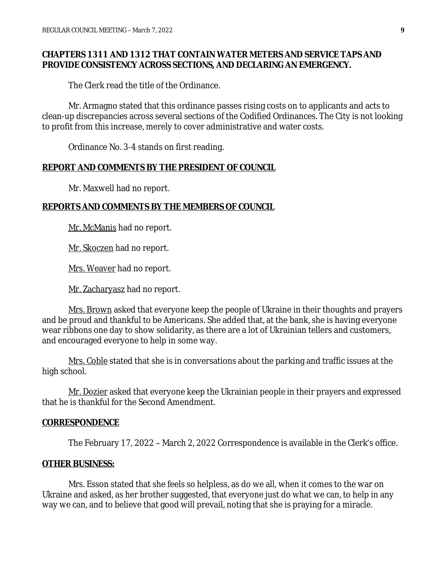## **CHAPTERS 1311 AND 1312 THAT CONTAIN WATER METERS AND SERVICE TAPS AND PROVIDE CONSISTENCY ACROSS SECTIONS, AND DECLARING AN EMERGENCY.**

The Clerk read the title of the Ordinance.

Mr. Armagno stated that this ordinance passes rising costs on to applicants and acts to clean-up discrepancies across several sections of the Codified Ordinances. The City is not looking to profit from this increase, merely to cover administrative and water costs.

Ordinance No. 3-4 stands on first reading.

#### **REPORT AND COMMENTS BY THE PRESIDENT OF COUNCIL**

Mr. Maxwell had no report.

#### **REPORTS AND COMMENTS BY THE MEMBERS OF COUNCIL**

Mr. McManis had no report.

Mr. Skoczen had no report.

Mrs. Weaver had no report.

Mr. Zacharyasz had no report.

Mrs. Brown asked that everyone keep the people of Ukraine in their thoughts and prayers and be proud and thankful to be Americans. She added that, at the bank, she is having everyone wear ribbons one day to show solidarity, as there are a lot of Ukrainian tellers and customers, and encouraged everyone to help in some way.

Mrs. Coble stated that she is in conversations about the parking and traffic issues at the high school.

Mr. Dozier asked that everyone keep the Ukrainian people in their prayers and expressed that he is thankful for the Second Amendment.

#### **CORRESPONDENCE**

The February 17, 2022 – March 2, 2022 Correspondence is available in the Clerk's office.

#### **OTHER BUSINESS:**

Mrs. Esson stated that she feels so helpless, as do we all, when it comes to the war on Ukraine and asked, as her brother suggested, that everyone just do what we can, to help in any way we can, and to believe that good will prevail, noting that she is praying for a miracle.